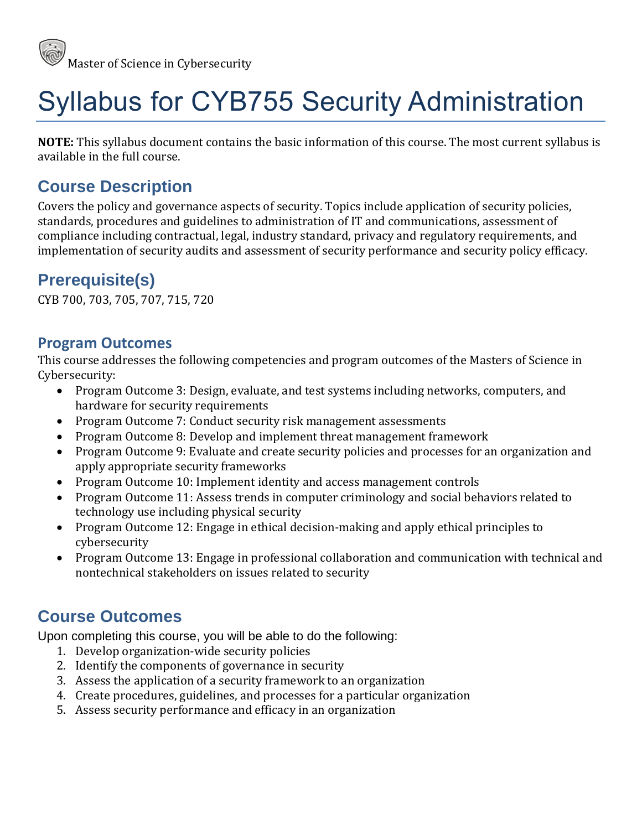

# Syllabus for CYB755 Security Administration

**NOTE:** This syllabus document contains the basic information of this course. The most current syllabus is available in the full course.

## **Course Description**

Covers the policy and governance aspects of security. Topics include application of security policies, standards, procedures and guidelines to administration of IT and communications, assessment of compliance including contractual, legal, industry standard, privacy and regulatory requirements, and implementation of security audits and assessment of security performance and security policy efficacy.

## **Prerequisite(s)**

CYB 700, 703, 705, 707, 715, 720

#### **Program Outcomes**

This course addresses the following competencies and program outcomes of the Masters of Science in Cybersecurity:

- Program Outcome 3: Design, evaluate, and test systems including networks, computers, and hardware for security requirements
- Program Outcome 7: Conduct security risk management assessments
- Program Outcome 8: Develop and implement threat management framework
- Program Outcome 9: Evaluate and create security policies and processes for an organization and apply appropriate security frameworks
- Program Outcome 10: Implement identity and access management controls
- Program Outcome 11: Assess trends in computer criminology and social behaviors related to technology use including physical security
- Program Outcome 12: Engage in ethical decision-making and apply ethical principles to cybersecurity
- Program Outcome 13: Engage in professional collaboration and communication with technical and nontechnical stakeholders on issues related to security

#### **Course Outcomes**

Upon completing this course, you will be able to do the following:

- 1. Develop organization-wide security policies
- 2. Identify the components of governance in security
- 3. Assess the application of a security framework to an organization
- 4. Create procedures, guidelines, and processes for a particular organization
- 5. Assess security performance and efficacy in an organization